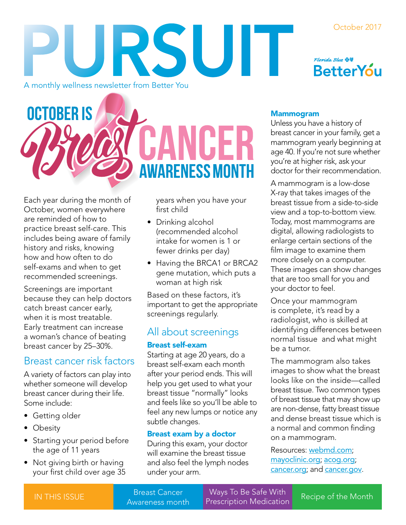#### October 2017

URSUIT A monthly wellness newsletter from Better You



**OCTOBER IS** WHFK **WARENESS MONTH** 

Each year during the month of October, women everywhere are reminded of how to practice breast self-care. This includes being aware of family history and risks, knowing how and how often to do self-exams and when to get recommended screenings.

Screenings are important because they can help doctors catch breast cancer early, when it is most treatable. Early treatment can increase a woman's chance of beating breast cancer by 25–30%.

### Breast cancer risk factors

A variety of factors can play into whether someone will develop breast cancer during their life. Some include:

- Getting older
- Obesity
- Starting your period before the age of 11 years
- Not giving birth or having your first child over age 35

years when you have your first child

- Drinking alcohol (recommended alcohol intake for women is 1 or fewer drinks per day)
- Having the BRCA1 or BRCA2 gene mutation, which puts a woman at high risk

Based on these factors, it's important to get the appropriate screenings regularly.

### All about screenings

### Breast self-exam

Starting at age 20 years, do a breast self-exam each month after your period ends. This will help you get used to what your breast tissue "normally" looks and feels like so you'll be able to feel any new lumps or notice any subtle changes.

### Breast exam by a doctor

During this exam, your doctor will examine the breast tissue and also feel the lymph nodes under your arm.

#### Mammogram

Unless you have a history of breast cancer in your family, get a mammogram yearly beginning at age 40. If you're not sure whether you're at higher risk, ask your doctor for their recommendation.

A mammogram is a low-dose X-ray that takes images of the breast tissue from a side-to-side view and a top-to-bottom view. Today, most mammograms are digital, allowing radiologists to enlarge certain sections of the film image to examine them more closely on a computer. These images can show changes that are too small for you and your doctor to feel.

Once your mammogram is complete, it's read by a radiologist, who is skilled at identifying differences between normal tissue and what might be a tumor.

The mammogram also takes images to show what the breast looks like on the inside—called breast tissue. Two common types of breast tissue that may show up are non-dense, fatty breast tissue and dense breast tissue which is a normal and common finding on a mammogram.

Resources: w[ebmd.com](http://www.webmd.com/); [mayoclinic.org](http://www.mayoclinic.org/); [acog.org](https://www.acog.org/); [cancer.org](https://www.cancer.org/); and [cancer.gov](https://www.cancer.gov/).

Ways To Be Safe With Breast Cancer **Example 19 Yourse 10 De Sare With** Recipe of the Month